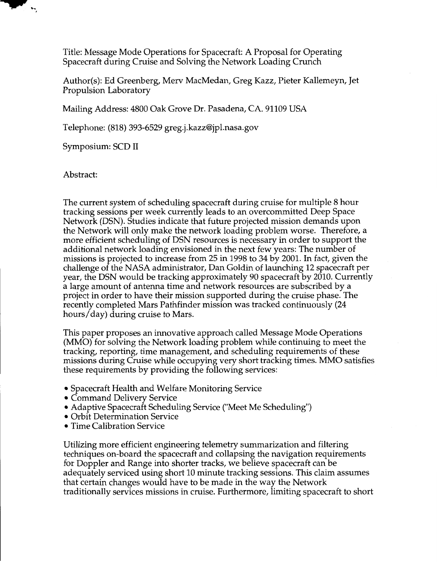Title: Message Mode Operations for Spacecraft: A Proposal for Operating Spacecraft during Cruise and Solving the Network Loading Crunch

Author(s): Ed Greenberg, Mew MacMedan, Greg Kazz, Pieter Kallemeyn, Jet Propulsion Laboratory

Mailing Address: 4800 Oak Grove Dr. Pasadena, CA. 91109 USA

Telephone: (818) 393-6529 [greg.j.kazz@jpl.nasa.gov](mailto:greg.j.kazz@jpl.nasa.gov)

Symposium: SCD I1

Abstract:

 $\ddot{ }$ 

The current system of scheduling spacecraft during cruise for multiple 8 hour tracking sessions per week currently leads to an overcommitted Deep Space Network (DSN). Studies indicate that future projected mission demands upon the Network will only make the network loading problem worse. Therefore, a more efficient scheduling of DSN resources is necessary in order to support the additional network loading envisioned in the next few years: The number of missions is projected to increase from 25 in 1998 to 34 by 2001. In fact, given the challenge of the NASA administrator, Dan Goldin of launching 12 spacecraft per year, the DSN would be tracking approximately 90 spacecraft by 2010. Currently a large amount of antenna time and network resources are subscribed by a project in order to have their mission supported during the cruise phase. The recently completed Mars Pathfinder mission was tracked continuously (24 hours/day) during cruise to Mars.

This paper proposes an innovative approach called Message Mode Operations (MMO) for solving the Network loading problem while continuing to meet the tracking, reporting, time management, and scheduling requirements of these missions during Cruise while occupying very short tracking times. MMO satisfies these requirements by providing the following services:

- Spacecraft Health and Welfare Monitoring Service
- Command Delivery Service
- Adaptive Spacecraft Scheduling Service ("Meet Me Scheduling")
- Orbit Determination Service
- Time Calibration Service

Utilizing more efficient engineering telemetry summarization and filtering techniques on-board the spacecraft and collapsing the navigation requirements for Doppler and Range into shorter tracks, we believe spacecraft can be adequately serviced using short 10 minute tracking sessions. This claim assumes that certain changes would have to be made in the way the Network traditionally services missions in cruise. Furthermore, limiting spacecraft to short